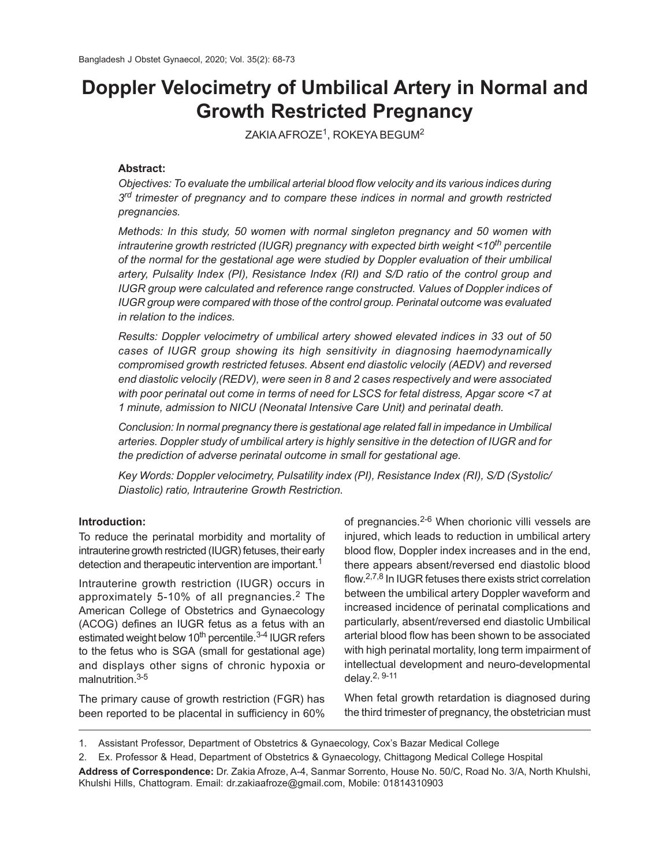# **Doppler Velocimetry of Umbilical Artery in Normal and Growth Restricted Pregnancy**

ZAKIA AFROZE $^1$ , ROKEYA BEGUM $^2$ 

# **Abstract:**

*Objectives: To evaluate the umbilical arterial blood flow velocity and its various indices during 3 rd trimester of pregnancy and to compare these indices in normal and growth restricted pregnancies.*

*Methods: In this study, 50 women with normal singleton pregnancy and 50 women with intrauterine growth restricted (IUGR) pregnancy with expected birth weight <10th percentile of the normal for the gestational age were studied by Doppler evaluation of their umbilical artery, Pulsality Index (PI), Resistance Index (RI) and S/D ratio of the control group and IUGR group were calculated and reference range constructed. Values of Doppler indices of IUGR group were compared with those of the control group. Perinatal outcome was evaluated in relation to the indices.*

*Results: Doppler velocimetry of umbilical artery showed elevated indices in 33 out of 50 cases of IUGR group showing its high sensitivity in diagnosing haemodynamically compromised growth restricted fetuses. Absent end diastolic velocily (AEDV) and reversed end diastolic velocily (REDV), were seen in 8 and 2 cases respectively and were associated with poor perinatal out come in terms of need for LSCS for fetal distress, Apgar score <7 at 1 minute, admission to NICU (Neonatal Intensive Care Unit) and perinatal death.*

*Conclusion: In normal pregnancy there is gestational age related fall in impedance in Umbilical arteries. Doppler study of umbilical artery is highly sensitive in the detection of IUGR and for the prediction of adverse perinatal outcome in small for gestational age.*

*Key Words: Doppler velocimetry, Pulsatility index (PI), Resistance Index (RI), S/D (Systolic/ Diastolic) ratio, Intrauterine Growth Restriction.*

## **Introduction:**

To reduce the perinatal morbidity and mortality of intrauterine growth restricted (IUGR) fetuses, their early detection and therapeutic intervention are important.<sup>1</sup>

Intrauterine growth restriction (IUGR) occurs in approximately 5-10% of all pregnancies.<sup>2</sup> The American College of Obstetrics and Gynaecology (ACOG) defines an IUGR fetus as a fetus with an estimated weight below  $10<sup>th</sup>$  percentile.<sup>3-4</sup> IUGR refers to the fetus who is SGA (small for gestational age) and displays other signs of chronic hypoxia or malnutrition.3-5

The primary cause of growth restriction (FGR) has been reported to be placental in sufficiency in 60%

of pregnancies.2-6 When chorionic villi vessels are injured, which leads to reduction in umbilical artery blood flow, Doppler index increases and in the end, there appears absent/reversed end diastolic blood flow. 2,7,8 In IUGR fetuses there exists strict correlation between the umbilical artery Doppler waveform and increased incidence of perinatal complications and particularly, absent/reversed end diastolic Umbilical arterial blood flow has been shown to be associated with high perinatal mortality, long term impairment of intellectual development and neuro-developmental delay. 2, 9-11

When fetal growth retardation is diagnosed during the third trimester of pregnancy, the obstetrician must

<sup>1.</sup> Assistant Professor, Department of Obstetrics & Gynaecology, Cox's Bazar Medical College

<sup>2.</sup> Ex. Professor & Head, Department of Obstetrics & Gynaecology, Chittagong Medical College Hospital

**Address of Correspondence:** Dr. Zakia Afroze, A-4, Sanmar Sorrento, House No. 50/C, Road No. 3/A, North Khulshi, Khulshi Hills, Chattogram. Email: dr.zakiaafroze@gmail.com, Mobile: 01814310903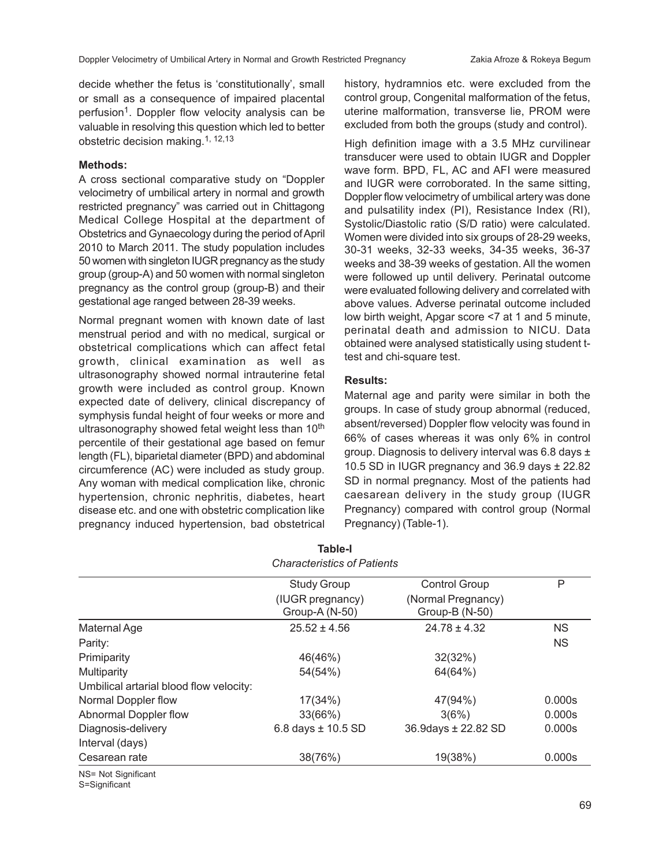decide whether the fetus is 'constitutionally', small or small as a consequence of impaired placental perfusion<sup>1</sup>. Doppler flow velocity analysis can be valuable in resolving this question which led to better obstetric decision making.1, 12,13

#### **Methods:**

A cross sectional comparative study on "Doppler velocimetry of umbilical artery in normal and growth restricted pregnancy" was carried out in Chittagong Medical College Hospital at the department of Obstetrics and Gynaecology during the period of April 2010 to March 2011. The study population includes 50 women with singleton IUGR pregnancy as the study group (group-A) and 50 women with normal singleton pregnancy as the control group (group-B) and their gestational age ranged between 28-39 weeks.

Normal pregnant women with known date of last menstrual period and with no medical, surgical or obstetrical complications which can affect fetal growth, clinical examination as well as ultrasonography showed normal intrauterine fetal growth were included as control group. Known expected date of delivery, clinical discrepancy of symphysis fundal height of four weeks or more and ultrasonography showed fetal weight less than 10<sup>th</sup> percentile of their gestational age based on femur length (FL), biparietal diameter (BPD) and abdominal circumference (AC) were included as study group. Any woman with medical complication like, chronic hypertension, chronic nephritis, diabetes, heart disease etc. and one with obstetric complication like pregnancy induced hypertension, bad obstetrical history, hydramnios etc. were excluded from the control group, Congenital malformation of the fetus, uterine malformation, transverse lie, PROM were excluded from both the groups (study and control).

High definition image with a 3.5 MHz curvilinear transducer were used to obtain IUGR and Doppler wave form. BPD, FL, AC and AFI were measured and IUGR were corroborated. In the same sitting, Doppler flow velocimetry of umbilical artery was done and pulsatility index (PI), Resistance Index (RI), Systolic/Diastolic ratio (S/D ratio) were calculated. Women were divided into six groups of 28-29 weeks, 30-31 weeks, 32-33 weeks, 34-35 weeks, 36-37 weeks and 38-39 weeks of gestation. All the women were followed up until delivery. Perinatal outcome were evaluated following delivery and correlated with above values. Adverse perinatal outcome included low birth weight, Apgar score <7 at 1 and 5 minute, perinatal death and admission to NICU. Data obtained were analysed statistically using student ttest and chi-square test.

### **Results:**

Maternal age and parity were similar in both the groups. In case of study group abnormal (reduced, absent/reversed) Doppler flow velocity was found in 66% of cases whereas it was only 6% in control group. Diagnosis to delivery interval was 6.8 days ± 10.5 SD in IUGR pregnancy and 36.9 days ± 22.82 SD in normal pregnancy. Most of the patients had caesarean delivery in the study group (IUGR Pregnancy) compared with control group (Normal Pregnancy) (Table-1).

|                                         | <b>Characteristics of Patients</b> |                                      |           |
|-----------------------------------------|------------------------------------|--------------------------------------|-----------|
|                                         | <b>Study Group</b>                 | <b>Control Group</b>                 | P         |
|                                         | (IUGR pregnancy)<br>Group-A (N-50) | (Normal Pregnancy)<br>Group-B (N-50) |           |
| Maternal Age                            | $25.52 \pm 4.56$                   | $24.78 \pm 4.32$                     | <b>NS</b> |
| Parity:                                 |                                    |                                      | <b>NS</b> |
| Primiparity                             | 46(46%)                            | 32(32%)                              |           |
| Multiparity                             | 54(54%)                            | 64(64%)                              |           |
| Umbilical artarial blood flow velocity: |                                    |                                      |           |
| Normal Doppler flow                     | 17(34%)                            | 47(94%)                              | 0.000s    |
| Abnormal Doppler flow                   | 33(66%)                            | 3(6%)                                | 0.000s    |
| Diagnosis-delivery                      | $6.8$ days $\pm$ 10.5 SD           | 36.9days ± 22.82 SD                  | 0.000s    |
| Interval (days)                         |                                    |                                      |           |
| Cesarean rate                           | 38(76%)                            | 19(38%)                              | 0.000s    |
| $N = N + 0.5$                           |                                    |                                      |           |

**Table-I**

NS= Not Significant S=Significant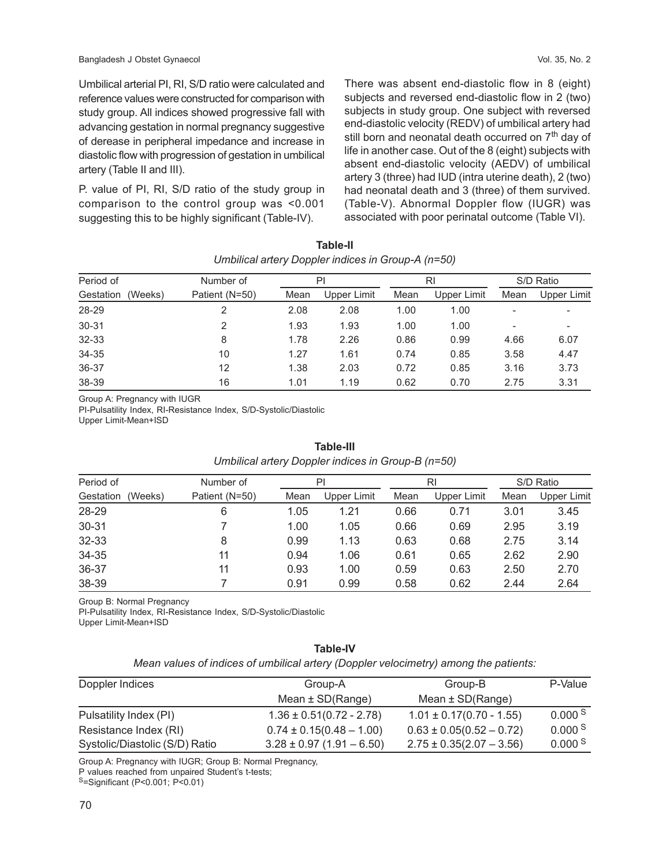Umbilical arterial PI, RI, S/D ratio were calculated and reference values were constructed for comparison with study group. All indices showed progressive fall with advancing gestation in normal pregnancy suggestive of derease in peripheral impedance and increase in diastolic flow with progression of gestation in umbilical artery (Table II and III).

P. value of PI, RI, S/D ratio of the study group in comparison to the control group was <0.001 suggesting this to be highly significant (Table-IV).

There was absent end-diastolic flow in 8 (eight) subjects and reversed end-diastolic flow in 2 (two) subjects in study group. One subject with reversed end-diastolic velocity (REDV) of umbilical artery had still born and neonatal death occurred on 7<sup>th</sup> day of life in another case. Out of the 8 (eight) subjects with absent end-diastolic velocity (AEDV) of umbilical artery 3 (three) had IUD (intra uterine death), 2 (two) had neonatal death and 3 (three) of them survived. (Table-V). Abnormal Doppler flow (IUGR) was associated with poor perinatal outcome (Table VI).

| $\frac{1}{2}$        |                |      |             |      |             |           |             |
|----------------------|----------------|------|-------------|------|-------------|-----------|-------------|
| Period of            | Number of      | PI   |             | RI   |             | S/D Ratio |             |
| (Weeks)<br>Gestation | Patient (N=50) | Mean | Upper Limit | Mean | Upper Limit | Mean      | Upper Limit |
| 28-29                |                | 2.08 | 2.08        | 1.00 | 1.00        |           |             |
| $30 - 31$            | 2              | 1.93 | 1.93        | 1.00 | 1.00        |           | -           |
| 32-33                | 8              | 1.78 | 2.26        | 0.86 | 0.99        | 4.66      | 6.07        |
| 34-35                | 10             | 1.27 | 1.61        | 0.74 | 0.85        | 3.58      | 4.47        |
| 36-37                | 12             | 1.38 | 2.03        | 0.72 | 0.85        | 3.16      | 3.73        |
| 38-39                | 16             | 1.01 | 1.19        | 0.62 | 0.70        | 2.75      | 3.31        |

| Table-II                                           |
|----------------------------------------------------|
| Umbilical artery Doppler indices in Group-A (n=50) |

Group A: Pregnancy with IUGR

PI-Pulsatility Index, RI-Resistance Index, S/D-Systolic/Diastolic Upper Limit-Mean+ISD

| Umbilical artery Doppler indices in Group-B (n=50) |                |      |             |      |             |      |             |
|----------------------------------------------------|----------------|------|-------------|------|-------------|------|-------------|
| Period of                                          | Number of      |      | PI          |      | RI          |      | S/D Ratio   |
| Gestation<br>(Weeks)                               | Patient (N=50) | Mean | Upper Limit | Mean | Upper Limit | Mean | Upper Limit |
| 28-29                                              | 6              | 1.05 | 1.21        | 0.66 | 0.71        | 3.01 | 3.45        |
| 30-31                                              |                | 1.00 | 1.05        | 0.66 | 0.69        | 2.95 | 3.19        |
| 32-33                                              | 8              | 0.99 | 1.13        | 0.63 | 0.68        | 2.75 | 3.14        |
| 34-35                                              | 11             | 0.94 | 1.06        | 0.61 | 0.65        | 2.62 | 2.90        |
| 36-37                                              | 11             | 0.93 | 1.00        | 0.59 | 0.63        | 2.50 | 2.70        |
| 38-39                                              |                | 0.91 | 0.99        | 0.58 | 0.62        | 2.44 | 2.64        |

# **Table-III** *Umbilical artery Doppler indices in Group-B (n=50)*

Group B: Normal Pregnancy

PI-Pulsatility Index, RI-Resistance Index, S/D-Systolic/Diastolic Upper Limit-Mean+ISD

## **Table-IV**

*Mean values of indices of umbilical artery (Doppler velocimetry) among the patients:*

| Doppler Indices                | Group-A                       | Group-B                      | P-Value             |  |
|--------------------------------|-------------------------------|------------------------------|---------------------|--|
|                                | Mean $\pm$ SD(Range)          | Mean $\pm$ SD(Range)         |                     |  |
| Pulsatility Index (PI)         | $1.36 \pm 0.51(0.72 - 2.78)$  | $1.01 \pm 0.17(0.70 - 1.55)$ | 0.000 <sup> S</sup> |  |
| Resistance Index (RI)          | $0.74 \pm 0.15(0.48 - 1.00)$  | $0.63 \pm 0.05(0.52 - 0.72)$ | 0.000 S             |  |
| Systolic/Diastolic (S/D) Ratio | $3.28 \pm 0.97$ (1.91 - 6.50) | $2.75 \pm 0.35(2.07 - 3.56)$ | 0.000 S             |  |

Group A: Pregnancy with IUGR; Group B: Normal Pregnancy,

P values reached from unpaired Student's t-tests;

<sup>S</sup>=Significant (P<0.001; P<0.01)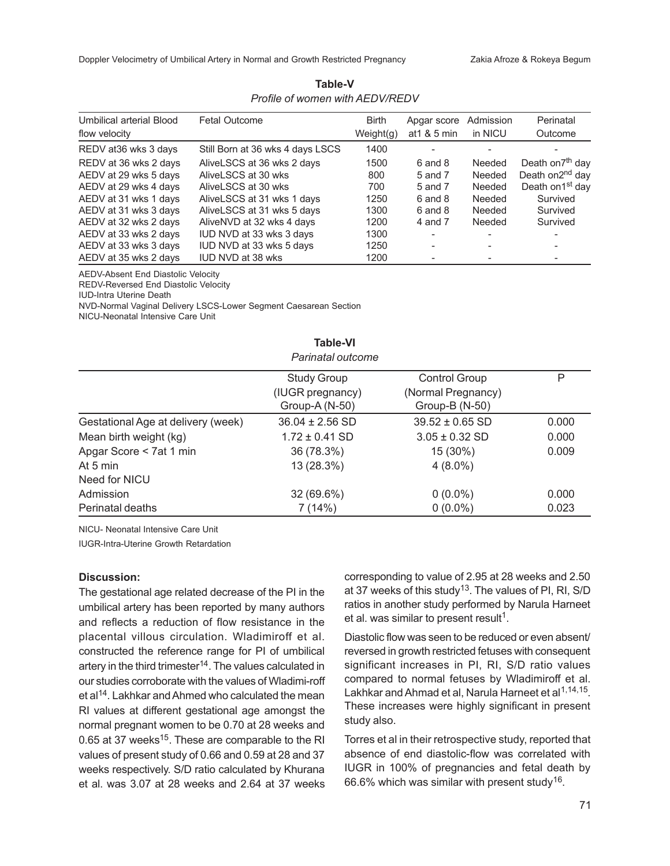Doppler Velocimetry of Umbilical Artery in Normal and Growth Restricted Pregnancy Zakia Afroze & Rokeya Begum

| Table-V                         |  |  |  |  |
|---------------------------------|--|--|--|--|
| Profile of women with AEDV/REDV |  |  |  |  |

| Umbilical arterial Blood | <b>Fetal Outcome</b>             | <b>Birth</b> | Apgar score  | Admission | Perinatal                    |
|--------------------------|----------------------------------|--------------|--------------|-----------|------------------------------|
| flow velocity            |                                  | Weight(g)    | at 1 & 5 min | in NICU   | Outcome                      |
| REDV at 36 wks 3 days    | Still Born at 36 wks 4 days LSCS | 1400         |              |           |                              |
| REDV at 36 wks 2 days    | AliveLSCS at 36 wks 2 days       | 1500         | 6 and 8      | Needed    | Death on7 <sup>th</sup> day  |
| AEDV at 29 wks 5 days    | AliveLSCS at 30 wks              | 800          | 5 and 7      | Needed    | Death on2 <sup>nd</sup> day  |
| AEDV at 29 wks 4 days    | AliveLSCS at 30 wks              | 700          | 5 and 7      | Needed    | Death on 1 <sup>st</sup> day |
| AEDV at 31 wks 1 days    | AliveLSCS at 31 wks 1 days       | 1250         | 6 and 8      | Needed    | Survived                     |
| AEDV at 31 wks 3 days    | AliveLSCS at 31 wks 5 days       | 1300         | $6$ and $8$  | Needed    | Survived                     |
| AEDV at 32 wks 2 days    | AliveNVD at 32 wks 4 days        | 1200         | 4 and 7      | Needed    | Survived                     |
| AEDV at 33 wks 2 days    | IUD NVD at 33 wks 3 days         | 1300         |              |           | $\overline{\phantom{a}}$     |
| AEDV at 33 wks 3 days    | IUD NVD at 33 wks 5 days         | 1250         |              |           |                              |
| AEDV at 35 wks 2 days    | <b>IUD NVD at 38 wks</b>         | 1200         |              |           | $\overline{\phantom{a}}$     |

AEDV-Absent End Diastolic Velocity

REDV-Reversed End Diastolic Velocity

IUD-Intra Uterine Death

NVD-Normal Vaginal Delivery LSCS-Lower Segment Caesarean Section

NICU-Neonatal Intensive Care Unit

| Parinatal outcome                  |                                    |                                      |       |  |  |
|------------------------------------|------------------------------------|--------------------------------------|-------|--|--|
|                                    | <b>Study Group</b>                 | <b>Control Group</b>                 | P     |  |  |
|                                    | (IUGR pregnancy)<br>Group-A (N-50) | (Normal Pregnancy)<br>Group-B (N-50) |       |  |  |
| Gestational Age at delivery (week) | $36.04 \pm 2.56$ SD                | $39.52 \pm 0.65$ SD                  | 0.000 |  |  |
| Mean birth weight (kg)             | $1.72 \pm 0.41$ SD                 | $3.05 \pm 0.32$ SD                   | 0.000 |  |  |
| Apgar Score < 7at 1 min            | 36 (78.3%)                         | 15 (30%)                             | 0.009 |  |  |
| At 5 min                           | 13 (28.3%)                         | $4(8.0\%)$                           |       |  |  |
| Need for NICU                      |                                    |                                      |       |  |  |
| Admission                          | 32 (69.6%)                         | $0(0.0\%)$                           | 0.000 |  |  |
| Perinatal deaths                   | 7 (14%)                            | $0(0.0\%)$                           | 0.023 |  |  |

**Table-VI**

NICU- Neonatal Intensive Care Unit

IUGR-Intra-Uterine Growth Retardation

## **Discussion:**

The gestational age related decrease of the PI in the umbilical artery has been reported by many authors and reflects a reduction of flow resistance in the placental villous circulation. Wladimiroff et al. constructed the reference range for PI of umbilical artery in the third trimester<sup>14</sup>. The values calculated in our studies corroborate with the values of Wladimi-roff et al<sup>14</sup>. Lakhkar and Ahmed who calculated the mean RI values at different gestational age amongst the normal pregnant women to be 0.70 at 28 weeks and 0.65 at 37 weeks $^{15}$ . These are comparable to the RI values of present study of 0.66 and 0.59 at 28 and 37 weeks respectively. S/D ratio calculated by Khurana et al. was 3.07 at 28 weeks and 2.64 at 37 weeks corresponding to value of 2.95 at 28 weeks and 2.50 at 37 weeks of this study<sup>13</sup>. The values of PI, RI, S/D ratios in another study performed by Narula Harneet et al. was similar to present result<sup>1</sup>.

Diastolic flow was seen to be reduced or even absent/ reversed in growth restricted fetuses with consequent significant increases in PI, RI, S/D ratio values compared to normal fetuses by Wladimiroff et al. Lakhkar and Ahmad et al, Narula Harneet et al<sup>1,14,15</sup>. These increases were highly significant in present study also.

Torres et al in their retrospective study, reported that absence of end diastolic-flow was correlated with IUGR in 100% of pregnancies and fetal death by 66.6% which was similar with present study<sup>16</sup>.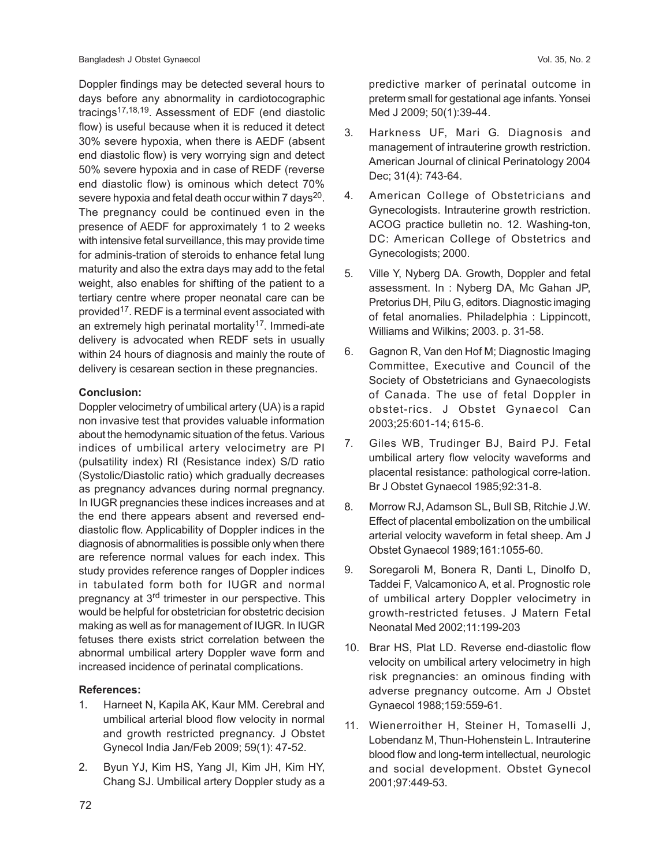Doppler findings may be detected several hours to days before any abnormality in cardiotocographic tracings<sup>17,18,19</sup>. Assessment of EDF (end diastolic flow) is useful because when it is reduced it detect 30% severe hypoxia, when there is AEDF (absent end diastolic flow) is very worrying sign and detect 50% severe hypoxia and in case of REDF (reverse end diastolic flow) is ominous which detect 70% severe hypoxia and fetal death occur within 7 days $^{20}$ . The pregnancy could be continued even in the presence of AEDF for approximately 1 to 2 weeks with intensive fetal surveillance, this may provide time for adminis-tration of steroids to enhance fetal lung maturity and also the extra days may add to the fetal weight, also enables for shifting of the patient to a tertiary centre where proper neonatal care can be provided17. REDF is a terminal event associated with an extremely high perinatal mortality<sup>17</sup>. Immedi-ate delivery is advocated when REDF sets in usually within 24 hours of diagnosis and mainly the route of delivery is cesarean section in these pregnancies.

## **Conclusion:**

Doppler velocimetry of umbilical artery (UA) is a rapid non invasive test that provides valuable information about the hemodynamic situation of the fetus. Various indices of umbilical artery velocimetry are PI (pulsatility index) RI (Resistance index) S/D ratio (Systolic/Diastolic ratio) which gradually decreases as pregnancy advances during normal pregnancy. In IUGR pregnancies these indices increases and at the end there appears absent and reversed enddiastolic flow. Applicability of Doppler indices in the diagnosis of abnormalities is possible only when there are reference normal values for each index. This study provides reference ranges of Doppler indices in tabulated form both for IUGR and normal pregnancy at 3rd trimester in our perspective. This would be helpful for obstetrician for obstetric decision making as well as for management of IUGR. In IUGR fetuses there exists strict correlation between the abnormal umbilical artery Doppler wave form and increased incidence of perinatal complications.

### **References:**

- 1. Harneet N, Kapila AK, Kaur MM. Cerebral and umbilical arterial blood flow velocity in normal and growth restricted pregnancy. J Obstet Gynecol India Jan/Feb 2009; 59(1): 47-52.
- 2. Byun YJ, Kim HS, Yang JI, Kim JH, Kim HY, Chang SJ. Umbilical artery Doppler study as a

72

predictive marker of perinatal outcome in preterm small for gestational age infants. Yonsei Med J 2009; 50(1):39-44.

- 3. Harkness UF, Mari G. Diagnosis and management of intrauterine growth restriction. American Journal of clinical Perinatology 2004 Dec; 31(4): 743-64.
- 4. American College of Obstetricians and Gynecologists. Intrauterine growth restriction. ACOG practice bulletin no. 12. Washing-ton, DC: American College of Obstetrics and Gynecologists; 2000.
- 5. Ville Y, Nyberg DA. Growth, Doppler and fetal assessment. In : Nyberg DA, Mc Gahan JP, Pretorius DH, Pilu G, editors. Diagnostic imaging of fetal anomalies. Philadelphia : Lippincott, Williams and Wilkins; 2003. p. 31-58.
- 6. Gagnon R, Van den Hof M; Diagnostic Imaging Committee, Executive and Council of the Society of Obstetricians and Gynaecologists of Canada. The use of fetal Doppler in obstet-rics. J Obstet Gynaecol Can 2003;25:601-14; 615-6.
- 7. Giles WB, Trudinger BJ, Baird PJ. Fetal umbilical artery flow velocity waveforms and placental resistance: pathological corre-lation. Br J Obstet Gynaecol 1985;92:31-8.
- 8. Morrow RJ, Adamson SL, Bull SB, Ritchie J.W. Effect of placental embolization on the umbilical arterial velocity waveform in fetal sheep. Am J Obstet Gynaecol 1989;161:1055-60.
- 9. Soregaroli M, Bonera R, Danti L, Dinolfo D, Taddei F, Valcamonico A, et al. Prognostic role of umbilical artery Doppler velocimetry in growth-restricted fetuses. J Matern Fetal Neonatal Med 2002;11:199-203
- 10. Brar HS, Plat LD. Reverse end-diastolic flow velocity on umbilical artery velocimetry in high risk pregnancies: an ominous finding with adverse pregnancy outcome. Am J Obstet Gynaecol 1988;159:559-61.
- 11. Wienerroither H, Steiner H, Tomaselli J, Lobendanz M, Thun-Hohenstein L. Intrauterine blood flow and long-term intellectual, neurologic and social development. Obstet Gynecol 2001;97:449-53.